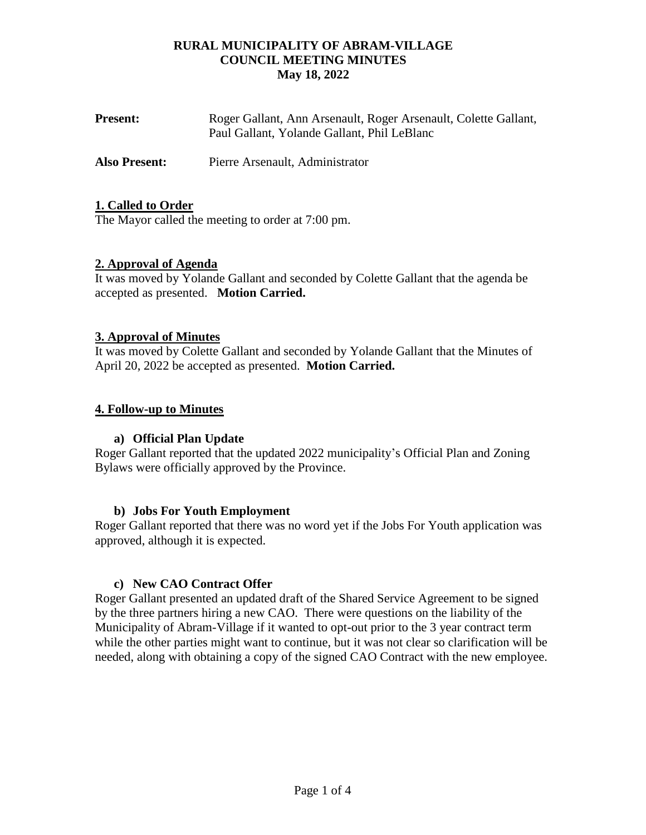| <b>Present:</b> | Roger Gallant, Ann Arsenault, Roger Arsenault, Colette Gallant, |
|-----------------|-----------------------------------------------------------------|
|                 | Paul Gallant, Yolande Gallant, Phil LeBlanc                     |
|                 |                                                                 |

**Also Present:** Pierre Arsenault, Administrator

# **1. Called to Order**

The Mayor called the meeting to order at 7:00 pm.

# **2. Approval of Agenda**

It was moved by Yolande Gallant and seconded by Colette Gallant that the agenda be accepted as presented. **Motion Carried.**

# **3. Approval of Minutes**

It was moved by Colette Gallant and seconded by Yolande Gallant that the Minutes of April 20, 2022 be accepted as presented. **Motion Carried.**

# **4. Follow-up to Minutes**

# **a) Official Plan Update**

Roger Gallant reported that the updated 2022 municipality's Official Plan and Zoning Bylaws were officially approved by the Province.

#### **b) Jobs For Youth Employment**

Roger Gallant reported that there was no word yet if the Jobs For Youth application was approved, although it is expected.

#### **c) New CAO Contract Offer**

Roger Gallant presented an updated draft of the Shared Service Agreement to be signed by the three partners hiring a new CAO. There were questions on the liability of the Municipality of Abram-Village if it wanted to opt-out prior to the 3 year contract term while the other parties might want to continue, but it was not clear so clarification will be needed, along with obtaining a copy of the signed CAO Contract with the new employee.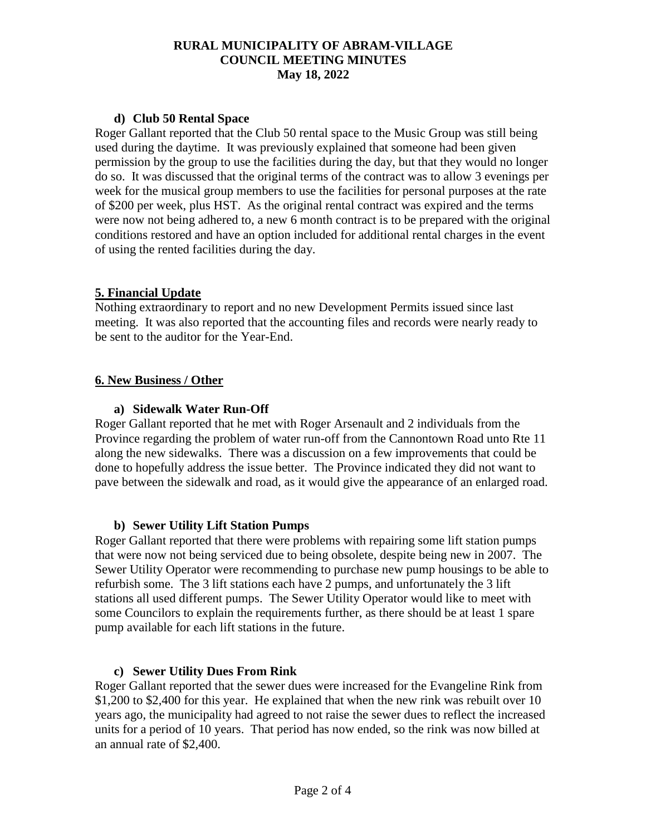#### **d) Club 50 Rental Space**

Roger Gallant reported that the Club 50 rental space to the Music Group was still being used during the daytime. It was previously explained that someone had been given permission by the group to use the facilities during the day, but that they would no longer do so. It was discussed that the original terms of the contract was to allow 3 evenings per week for the musical group members to use the facilities for personal purposes at the rate of \$200 per week, plus HST. As the original rental contract was expired and the terms were now not being adhered to, a new 6 month contract is to be prepared with the original conditions restored and have an option included for additional rental charges in the event of using the rented facilities during the day.

# **5. Financial Update**

Nothing extraordinary to report and no new Development Permits issued since last meeting. It was also reported that the accounting files and records were nearly ready to be sent to the auditor for the Year-End.

# **6. New Business / Other**

# **a) Sidewalk Water Run-Off**

Roger Gallant reported that he met with Roger Arsenault and 2 individuals from the Province regarding the problem of water run-off from the Cannontown Road unto Rte 11 along the new sidewalks. There was a discussion on a few improvements that could be done to hopefully address the issue better. The Province indicated they did not want to pave between the sidewalk and road, as it would give the appearance of an enlarged road.

#### **b) Sewer Utility Lift Station Pumps**

Roger Gallant reported that there were problems with repairing some lift station pumps that were now not being serviced due to being obsolete, despite being new in 2007. The Sewer Utility Operator were recommending to purchase new pump housings to be able to refurbish some. The 3 lift stations each have 2 pumps, and unfortunately the 3 lift stations all used different pumps. The Sewer Utility Operator would like to meet with some Councilors to explain the requirements further, as there should be at least 1 spare pump available for each lift stations in the future.

#### **c) Sewer Utility Dues From Rink**

Roger Gallant reported that the sewer dues were increased for the Evangeline Rink from \$1,200 to \$2,400 for this year. He explained that when the new rink was rebuilt over 10 years ago, the municipality had agreed to not raise the sewer dues to reflect the increased units for a period of 10 years. That period has now ended, so the rink was now billed at an annual rate of \$2,400.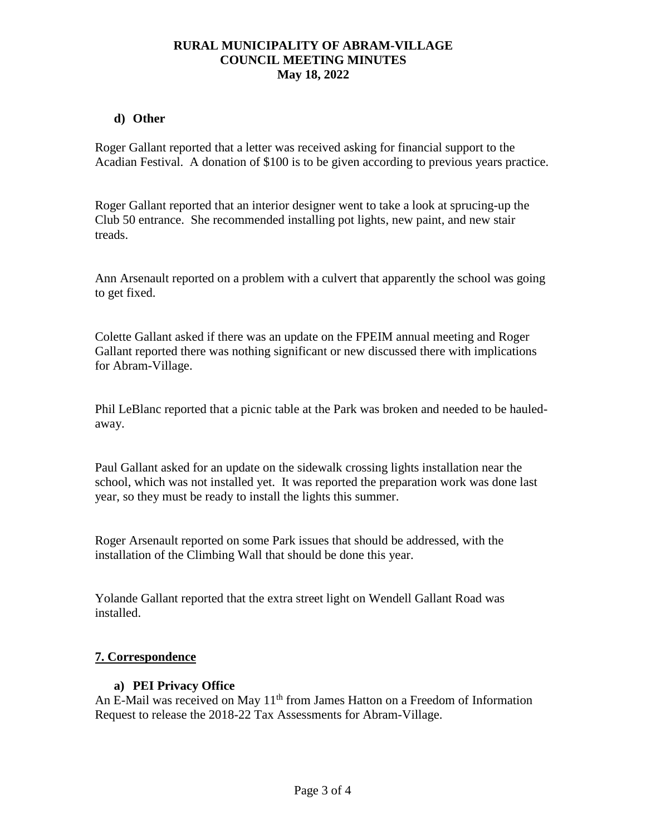#### **d) Other**

Roger Gallant reported that a letter was received asking for financial support to the Acadian Festival. A donation of \$100 is to be given according to previous years practice.

Roger Gallant reported that an interior designer went to take a look at sprucing-up the Club 50 entrance. She recommended installing pot lights, new paint, and new stair treads.

Ann Arsenault reported on a problem with a culvert that apparently the school was going to get fixed.

Colette Gallant asked if there was an update on the FPEIM annual meeting and Roger Gallant reported there was nothing significant or new discussed there with implications for Abram-Village.

Phil LeBlanc reported that a picnic table at the Park was broken and needed to be hauledaway.

Paul Gallant asked for an update on the sidewalk crossing lights installation near the school, which was not installed yet. It was reported the preparation work was done last year, so they must be ready to install the lights this summer.

Roger Arsenault reported on some Park issues that should be addressed, with the installation of the Climbing Wall that should be done this year.

Yolande Gallant reported that the extra street light on Wendell Gallant Road was installed.

#### **7. Correspondence**

#### **a) PEI Privacy Office**

An E-Mail was received on May  $11<sup>th</sup>$  from James Hatton on a Freedom of Information Request to release the 2018-22 Tax Assessments for Abram-Village.